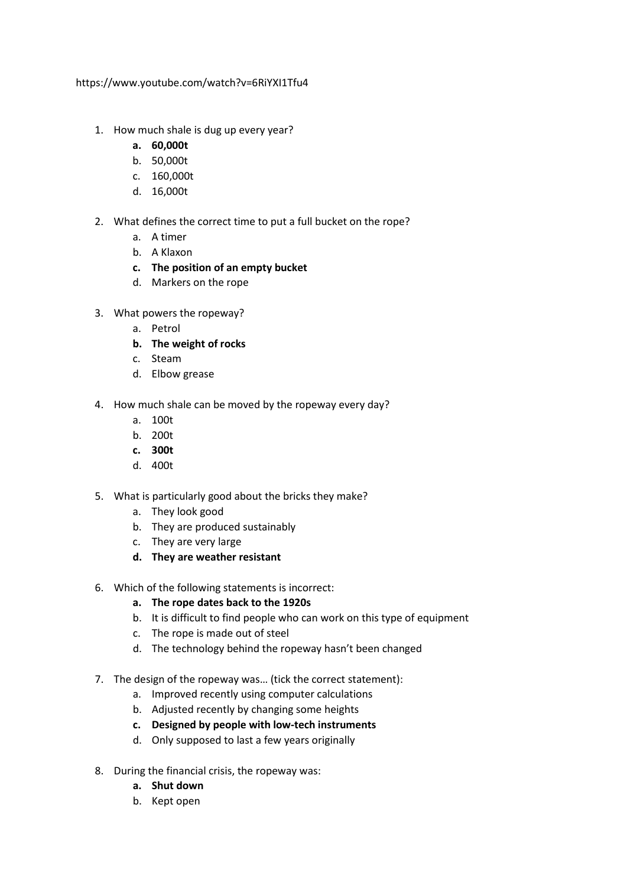https://www.youtube.com/watch?v=6RiYXI1Tfu4

- 1. How much shale is dug up every year?
	- **a. 60,000t**
	- b. 50,000t
	- c. 160,000t
	- d. 16,000t
- 2. What defines the correct time to put a full bucket on the rope?
	- a. A timer
	- b. A Klaxon
	- **c. The position of an empty bucket**
	- d. Markers on the rope
- 3. What powers the ropeway?
	- a. Petrol
	- **b. The weight of rocks**
	- c. Steam
	- d. Elbow grease
- 4. How much shale can be moved by the ropeway every day?
	- a. 100t
	- b. 200t
	- **c. 300t**
	- d. 400t
- 5. What is particularly good about the bricks they make?
	- a. They look good
	- b. They are produced sustainably
	- c. They are very large
	- **d. They are weather resistant**
- 6. Which of the following statements is incorrect:
	- **a. The rope dates back to the 1920s**
	- b. It is difficult to find people who can work on this type of equipment
	- c. The rope is made out of steel
	- d. The technology behind the ropeway hasn't been changed
- 7. The design of the ropeway was… (tick the correct statement):
	- a. Improved recently using computer calculations
	- b. Adjusted recently by changing some heights
	- **c. Designed by people with low-tech instruments**
	- d. Only supposed to last a few years originally
- 8. During the financial crisis, the ropeway was:
	- **a. Shut down**
	- b. Kept open